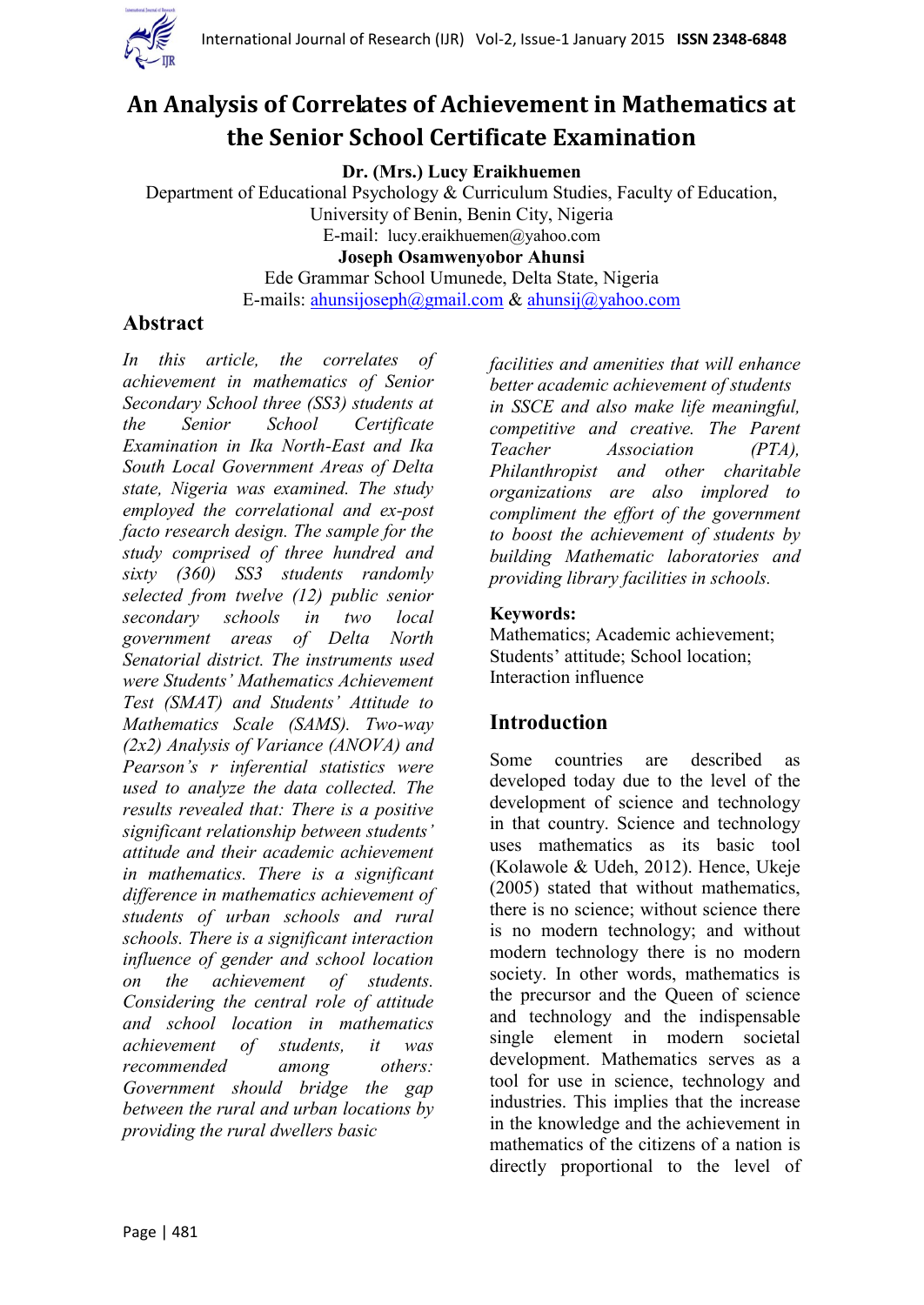

# **An Analysis of Correlates of Achievement in Mathematics at the Senior School Certificate Examination**

**Dr. (Mrs.) Lucy Eraikhuemen**

Department of Educational Psychology & Curriculum Studies, Faculty of Education, University of Benin, Benin City, Nigeria E-mail: lucy.eraikhuemen@yahoo.com

**Joseph Osamwenyobor Ahunsi**

Ede Grammar School Umunede, Delta State, Nigeria E-mails: [ahunsijoseph@gmail.com](mailto:ahunsijoseph@gmail.com) & [ahunsij@yahoo.com](mailto:ahunsij@yahoo.com)

## **Abstract**

*In this article, the correlates of achievement in mathematics of Senior Secondary School three (SS3) students at the Senior School Certificate Examination in Ika North-East and Ika South Local Government Areas of Delta state, Nigeria was examined. The study employed the correlational and ex-post facto research design. The sample for the study comprised of three hundred and sixty (360) SS3 students randomly selected from twelve (12) public senior secondary schools in two local government areas of Delta North Senatorial district. The instruments used were Students' Mathematics Achievement Test (SMAT) and Students' Attitude to Mathematics Scale (SAMS). Two-way (2x2) Analysis of Variance (ANOVA) and Pearson's r inferential statistics were used to analyze the data collected. The results revealed that: There is a positive significant relationship between students' attitude and their academic achievement in mathematics. There is a significant difference in mathematics achievement of students of urban schools and rural schools. There is a significant interaction influence of gender and school location on the achievement of students. Considering the central role of attitude and school location in mathematics achievement of students, it was recommended among others: Government should bridge the gap between the rural and urban locations by providing the rural dwellers basic* 

*facilities and amenities that will enhance better academic achievement of students in SSCE and also make life meaningful, competitive and creative. The Parent Teacher Association (PTA), Philanthropist and other charitable organizations are also implored to compliment the effort of the government to boost the achievement of students by building Mathematic laboratories and providing library facilities in schools.*

### **Keywords:**

Mathematics; Academic achievement; Students' attitude; School location; Interaction influence

# **Introduction**

Some countries are described as developed today due to the level of the development of science and technology in that country. Science and technology uses mathematics as its basic tool (Kolawole & Udeh, 2012). Hence, Ukeje (2005) stated that without mathematics, there is no science; without science there is no modern technology; and without modern technology there is no modern society. In other words, mathematics is the precursor and the Queen of science and technology and the indispensable single element in modern societal development. Mathematics serves as a tool for use in science, technology and industries. This implies that the increase in the knowledge and the achievement in mathematics of the citizens of a nation is directly proportional to the level of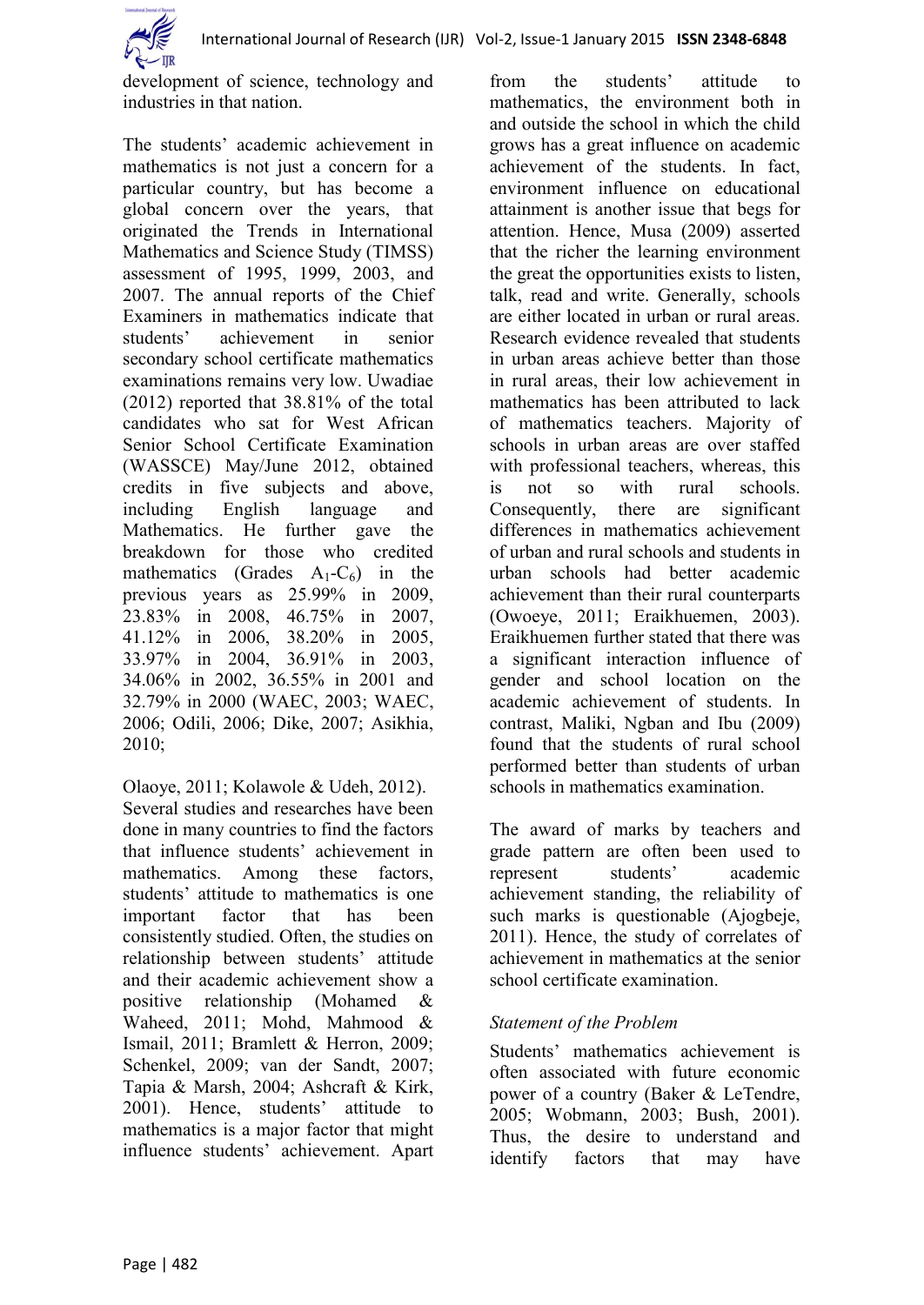

development of science, technology and industries in that nation.

The students' academic achievement in mathematics is not just a concern for a particular country, but has become a global concern over the years, that originated the Trends in International Mathematics and Science Study (TIMSS) assessment of 1995, 1999, 2003, and 2007. The annual reports of the Chief Examiners in mathematics indicate that students' achievement in senior secondary school certificate mathematics examinations remains very low. Uwadiae (2012) reported that 38.81% of the total candidates who sat for West African Senior School Certificate Examination (WASSCE) May/June 2012, obtained credits in five subjects and above, including English language and Mathematics. He further gave the breakdown for those who credited mathematics (Grades  $A_1 - C_6$ ) in the previous years as 25.99% in 2009, 23.83% in 2008, 46.75% in 2007, 41.12% in 2006, 38.20% in 2005, 33.97% in 2004, 36.91% in 2003, 34.06% in 2002, 36.55% in 2001 and 32.79% in 2000 (WAEC, 2003; WAEC, 2006; Odili, 2006; Dike, 2007; Asikhia, 2010;

Olaoye, 2011; Kolawole & Udeh, 2012). Several studies and researches have been done in many countries to find the factors that influence students' achievement in mathematics. Among these factors, students' attitude to mathematics is one important factor that has been consistently studied. Often, the studies on relationship between students' attitude and their academic achievement show a positive relationship (Mohamed & Waheed, 2011; Mohd, Mahmood & Ismail, 2011; Bramlett & Herron, 2009; Schenkel, 2009; van der Sandt, 2007; Tapia & Marsh, 2004; Ashcraft & Kirk, 2001). Hence, students' attitude to mathematics is a major factor that might influence students' achievement. Apart from the students' attitude to mathematics, the environment both in and outside the school in which the child grows has a great influence on academic achievement of the students. In fact, environment influence on educational attainment is another issue that begs for attention. Hence, Musa (2009) asserted that the richer the learning environment the great the opportunities exists to listen, talk, read and write. Generally, schools are either located in urban or rural areas. Research evidence revealed that students in urban areas achieve better than those in rural areas, their low achievement in mathematics has been attributed to lack of mathematics teachers. Majority of schools in urban areas are over staffed with professional teachers, whereas, this is not so with rural schools. Consequently, there are significant differences in mathematics achievement of urban and rural schools and students in urban schools had better academic achievement than their rural counterparts (Owoeye, 2011; Eraikhuemen, 2003). Eraikhuemen further stated that there was a significant interaction influence of gender and school location on the academic achievement of students. In contrast, Maliki, Ngban and Ibu (2009) found that the students of rural school performed better than students of urban schools in mathematics examination.

The award of marks by teachers and grade pattern are often been used to represent students' academic achievement standing, the reliability of such marks is questionable (Ajogbeje, 2011). Hence, the study of correlates of achievement in mathematics at the senior school certificate examination.

#### *Statement of the Problem*

Students' mathematics achievement is often associated with future economic power of a country (Baker & LeTendre, 2005; Wobmann, 2003; Bush, 2001). Thus, the desire to understand and identify factors that may have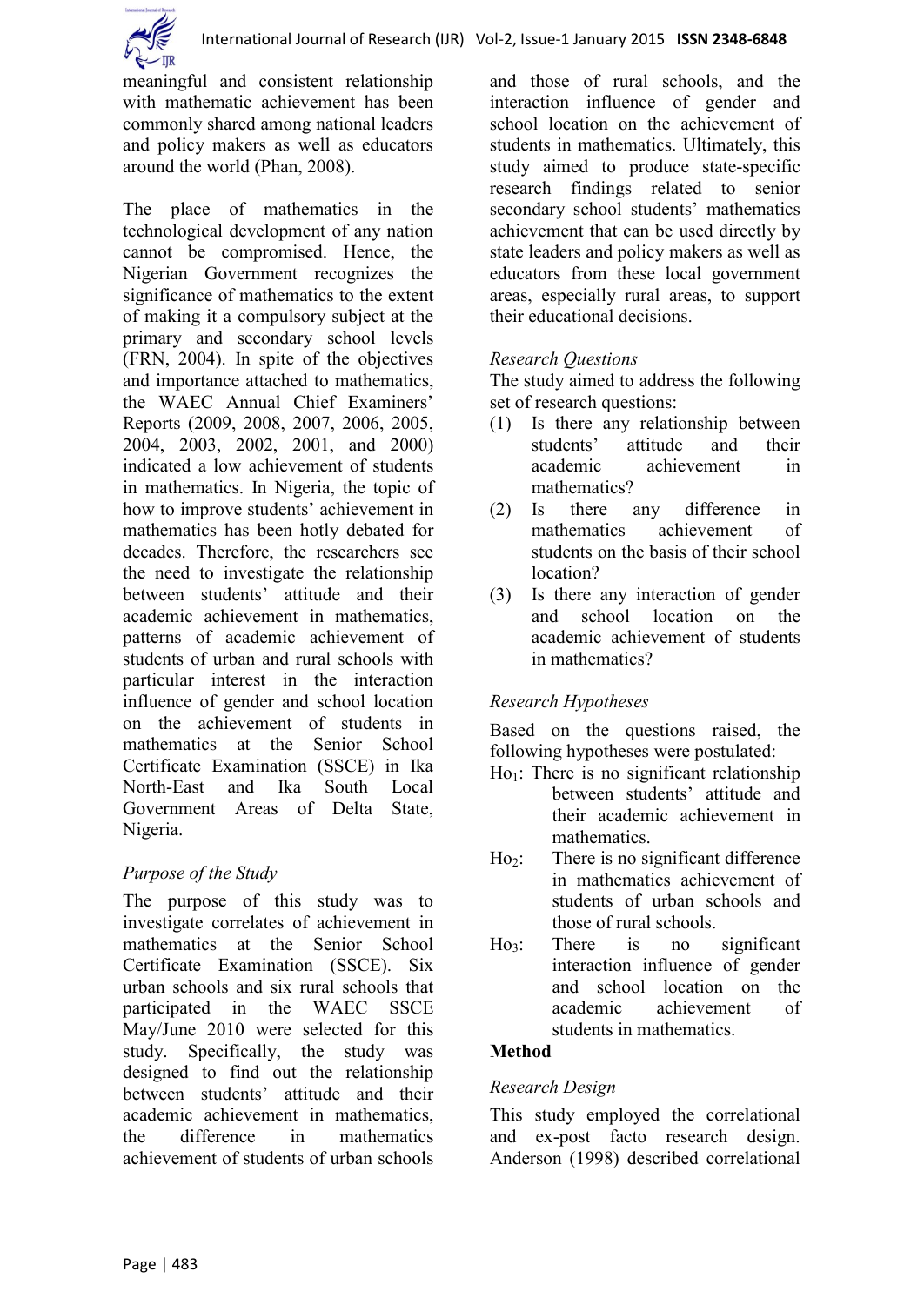

meaningful and consistent relationship with mathematic achievement has been commonly shared among national leaders and policy makers as well as educators around the world (Phan, 2008).

The place of mathematics in the technological development of any nation cannot be compromised. Hence, the Nigerian Government recognizes the significance of mathematics to the extent of making it a compulsory subject at the primary and secondary school levels (FRN, 2004). In spite of the objectives and importance attached to mathematics, the WAEC Annual Chief Examiners' Reports (2009, 2008, 2007, 2006, 2005, 2004, 2003, 2002, 2001, and 2000) indicated a low achievement of students in mathematics. In Nigeria, the topic of how to improve students' achievement in mathematics has been hotly debated for decades. Therefore, the researchers see the need to investigate the relationship between students' attitude and their academic achievement in mathematics, patterns of academic achievement of students of urban and rural schools with particular interest in the interaction influence of gender and school location on the achievement of students in mathematics at the Senior School Certificate Examination (SSCE) in Ika North-East and Ika South Local Government Areas of Delta State, Nigeria.

## *Purpose of the Study*

The purpose of this study was to investigate correlates of achievement in mathematics at the Senior School Certificate Examination (SSCE). Six urban schools and six rural schools that participated in the WAEC SSCE May/June 2010 were selected for this study. Specifically, the study was designed to find out the relationship between students' attitude and their academic achievement in mathematics, the difference in mathematics achievement of students of urban schools

and those of rural schools, and the interaction influence of gender and school location on the achievement of students in mathematics. Ultimately, this study aimed to produce state-specific research findings related to senior secondary school students' mathematics achievement that can be used directly by state leaders and policy makers as well as educators from these local government areas, especially rural areas, to support their educational decisions.

### *Research Questions*

The study aimed to address the following set of research questions:

- (1) Is there any relationship between<br>students' attitude and their students' attitude and their academic achievement in mathematics?
- (2) Is there any difference in mathematics achievement of students on the basis of their school location?
- (3) Is there any interaction of gender and school location on the academic achievement of students in mathematics?

## *Research Hypotheses*

Based on the questions raised, the following hypotheses were postulated:

- $Ho<sub>1</sub>:$  There is no significant relationship between students' attitude and their academic achievement in mathematics.
- Ho<sub>2</sub>: There is no significant difference in mathematics achievement of students of urban schools and those of rural schools.
- Ho<sub>3</sub>: There is no significant interaction influence of gender and school location on the academic achievement of students in mathematics.

#### **Method**

#### *Research Design*

This study employed the correlational and ex-post facto research design. Anderson (1998) described correlational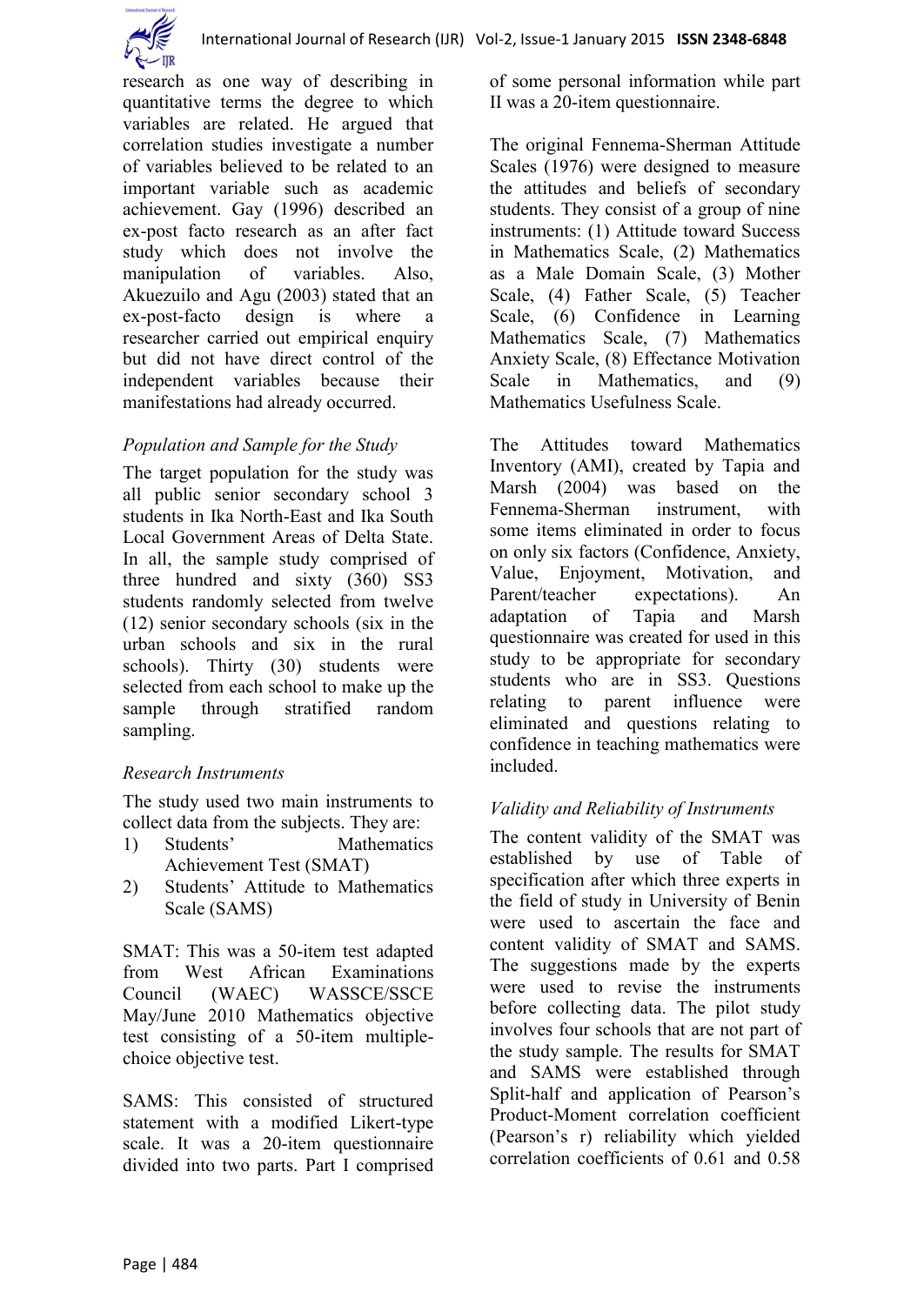

research as one way of describing in quantitative terms the degree to which variables are related. He argued that correlation studies investigate a number of variables believed to be related to an important variable such as academic achievement. Gay (1996) described an ex-post facto research as an after fact study which does not involve the manipulation of variables. Also, Akuezuilo and Agu (2003) stated that an ex-post-facto design is where a researcher carried out empirical enquiry but did not have direct control of the independent variables because their manifestations had already occurred.

### *Population and Sample for the Study*

The target population for the study was all public senior secondary school 3 students in Ika North-East and Ika South Local Government Areas of Delta State. In all, the sample study comprised of three hundred and sixty (360) SS3 students randomly selected from twelve (12) senior secondary schools (six in the urban schools and six in the rural schools). Thirty (30) students were selected from each school to make up the sample through stratified random sampling.

#### *Research Instruments*

The study used two main instruments to collect data from the subjects. They are:

- 1) Students' Mathematics Achievement Test (SMAT)
- 2) Students' Attitude to Mathematics Scale (SAMS)

SMAT: This was a 50-item test adapted from West African Examinations Council (WAEC) WASSCE/SSCE May/June 2010 Mathematics objective test consisting of a 50-item multiplechoice objective test.

SAMS: This consisted of structured statement with a modified Likert-type scale. It was a 20-item questionnaire divided into two parts. Part I comprised of some personal information while part II was a 20-item questionnaire.

The original Fennema-Sherman Attitude Scales (1976) were designed to measure the attitudes and beliefs of secondary students. They consist of a group of nine instruments: (1) Attitude toward Success in Mathematics Scale, (2) Mathematics as a Male Domain Scale, (3) Mother Scale, (4) Father Scale, (5) Teacher Scale, (6) Confidence in Learning Mathematics Scale, (7) Mathematics Anxiety Scale, (8) Effectance Motivation Scale in Mathematics, and (9) Mathematics Usefulness Scale.

The Attitudes toward Mathematics Inventory (AMI), created by Tapia and Marsh (2004) was based on the Fennema-Sherman instrument, with some items eliminated in order to focus on only six factors (Confidence, Anxiety, Value, Enjoyment, Motivation, and Parent/teacher expectations). An adaptation of Tapia and Marsh questionnaire was created for used in this study to be appropriate for secondary students who are in SS3. Questions relating to parent influence were eliminated and questions relating to confidence in teaching mathematics were included.

## *Validity and Reliability of Instruments*

The content validity of the SMAT was established by use of Table of specification after which three experts in the field of study in University of Benin were used to ascertain the face and content validity of SMAT and SAMS. The suggestions made by the experts were used to revise the instruments before collecting data. The pilot study involves four schools that are not part of the study sample. The results for SMAT and SAMS were established through Split-half and application of Pearson's Product-Moment correlation coefficient (Pearson's r) reliability which yielded correlation coefficients of 0.61 and 0.58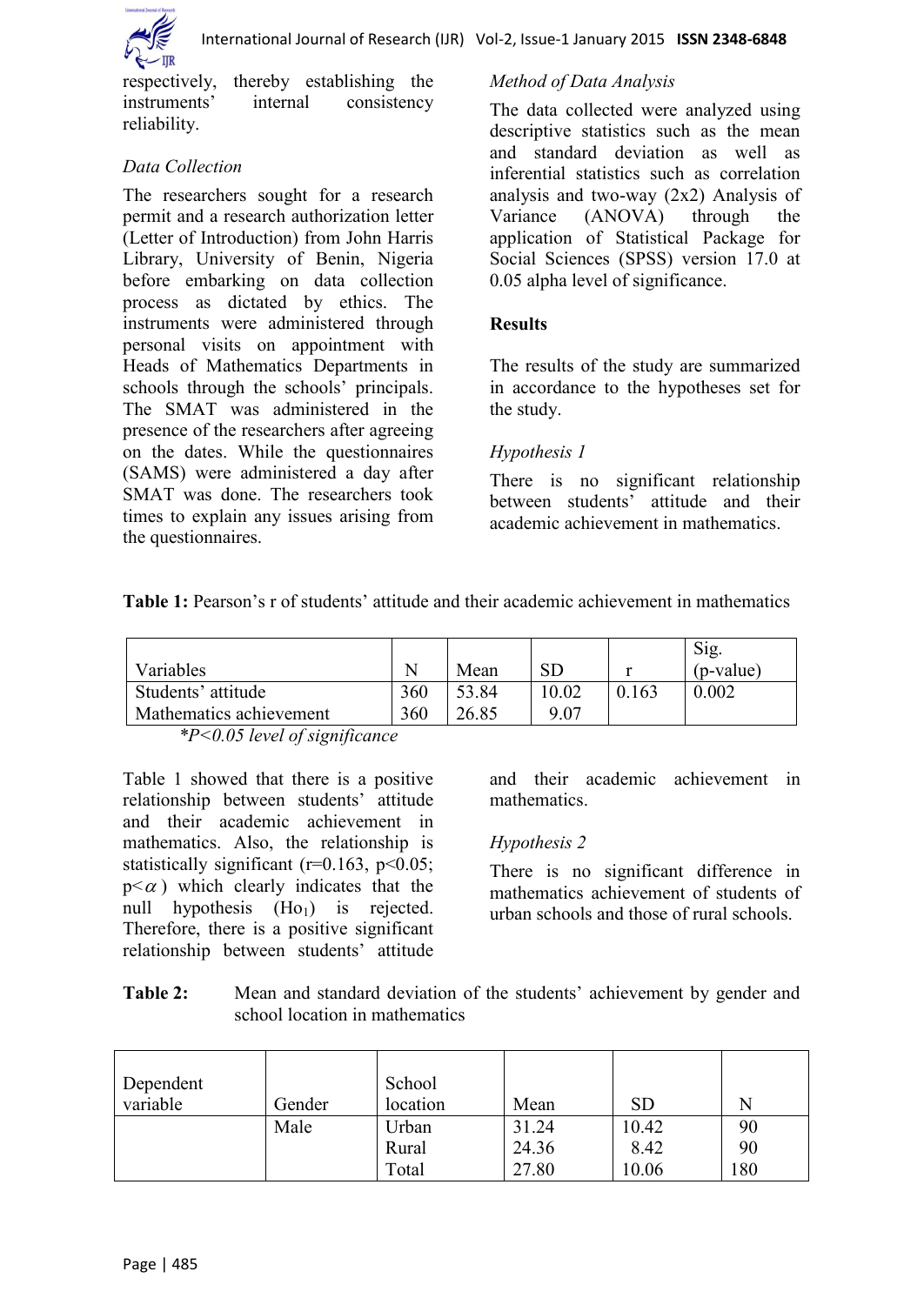

respectively, thereby establishing the instruments' internal consistency reliability.

# *Data Collection*

The researchers sought for a research permit and a research authorization letter (Letter of Introduction) from John Harris Library, University of Benin, Nigeria before embarking on data collection process as dictated by ethics. The instruments were administered through personal visits on appointment with Heads of Mathematics Departments in schools through the schools' principals. The SMAT was administered in the presence of the researchers after agreeing on the dates. While the questionnaires (SAMS) were administered a day after SMAT was done. The researchers took times to explain any issues arising from the questionnaires.

# *Method of Data Analysis*

The data collected were analyzed using descriptive statistics such as the mean and standard deviation as well as inferential statistics such as correlation analysis and two-way (2x2) Analysis of Variance (ANOVA) through the application of Statistical Package for Social Sciences (SPSS) version 17.0 at 0.05 alpha level of significance.

### **Results**

The results of the study are summarized in accordance to the hypotheses set for the study.

### *Hypothesis 1*

There is no significant relationship between students' attitude and their academic achievement in mathematics.

| <b>Table 1:</b> Pearson's r of students' attitude and their academic achievement in mathematics |  |  |  |  |
|-------------------------------------------------------------------------------------------------|--|--|--|--|
|-------------------------------------------------------------------------------------------------|--|--|--|--|

| Variables               | N   | Mean  | <b>SD</b> |       | Sig.<br>(p-value) |
|-------------------------|-----|-------|-----------|-------|-------------------|
| Students' attitude      | 360 | 53.84 | 10.02     | 0.163 | 0.002             |
| Mathematics achievement | 360 | 26.85 | 9.07      |       |                   |

*\*P<0.05 level of significance*

Table 1 showed that there is a positive relationship between students' attitude and their academic achievement in mathematics. Also, the relationship is statistically significant ( $r=0.163$ ,  $p<0.05$ ;  $p<\alpha$ ) which clearly indicates that the null hypothesis  $(Ho<sub>1</sub>)$  is rejected. Therefore, there is a positive significant relationship between students' attitude and their academic achievement in mathematics.

## *Hypothesis 2*

There is no significant difference in mathematics achievement of students of urban schools and those of rural schools.

**Table 2:** Mean and standard deviation of the students' achievement by gender and school location in mathematics

| Dependent<br>variable | Gender | School<br>location | Mean           | <b>SD</b>     | N        |
|-----------------------|--------|--------------------|----------------|---------------|----------|
|                       | Male   | Urban<br>Rural     | 31.24<br>24.36 | 10.42<br>8.42 | 90<br>90 |
|                       |        | Total              | 27.80          | 10.06         | 180      |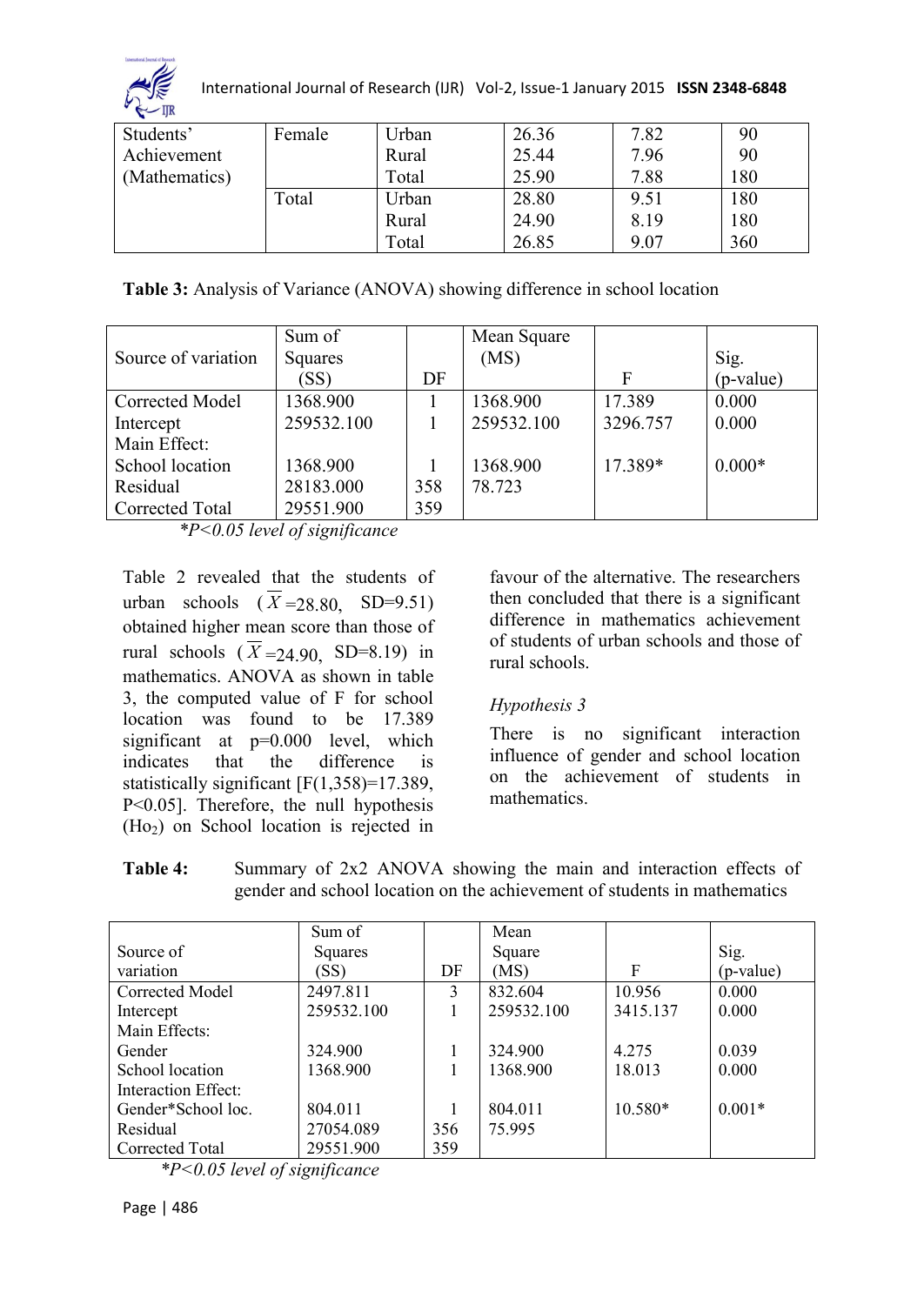

International Journal of Research (IJR) Vol-2, Issue-1 January 2015 **ISSN 2348-6848**

| Students'     | Female | Urban        | 26.36 | 7.82 | 90  |
|---------------|--------|--------------|-------|------|-----|
| Achievement   |        | Rural        | 25.44 | 7.96 | 90  |
| (Mathematics) |        | Total        | 25.90 | 7.88 | 180 |
|               | Total  | <b>Jrban</b> | 28.80 | 9.51 | 180 |
|               |        | Rural        | 24.90 | 8.19 | 180 |
|               |        | Total        | 26.85 | 9.07 | 360 |

**Table 3:** Analysis of Variance (ANOVA) showing difference in school location

|                     | Sum of     |     | Mean Square |          |             |
|---------------------|------------|-----|-------------|----------|-------------|
| Source of variation | Squares    |     | (MS)        |          | Sig.        |
|                     | (SS)       | DF  |             | F        | $(p-value)$ |
| Corrected Model     | 1368.900   |     | 1368.900    | 17.389   | 0.000       |
| Intercept           | 259532.100 |     | 259532.100  | 3296.757 | 0.000       |
| Main Effect:        |            |     |             |          |             |
| School location     | 1368.900   |     | 1368.900    | 17.389*  | $0.000*$    |
| Residual            | 28183.000  | 358 | 78.723      |          |             |
| Corrected Total     | 29551.900  | 359 |             |          |             |

*\*P<0.05 level of significance*

Table 2 revealed that the students of urban schools  $(X=28.80, SD=9.51)$ obtained higher mean score than those of rural schools  $(X=24.90, SD=8.19)$  in mathematics. ANOVA as shown in table 3, the computed value of F for school location was found to be 17.389 significant at p=0.000 level, which indicates that the difference is statistically significant [F(1,358)=17.389, P<0.05]. Therefore, the null hypothesis  $(Ho<sub>2</sub>)$  on School location is rejected in

favour of the alternative. The researchers then concluded that there is a significant difference in mathematics achievement of students of urban schools and those of rural schools.

## *Hypothesis 3*

There is no significant interaction influence of gender and school location on the achievement of students in mathematics.

| Table 4: | Summary of 2x2 ANOVA showing the main and interaction effects of         |
|----------|--------------------------------------------------------------------------|
|          | gender and school location on the achievement of students in mathematics |

|                     | Sum of     |     | Mean       |           |           |
|---------------------|------------|-----|------------|-----------|-----------|
| Source of           | Squares    |     | Square     |           | Sig.      |
| variation           | (SS)       | DF  | (MS)       | F         | (p-value) |
| Corrected Model     | 2497.811   | 3   | 832.604    | 10.956    | 0.000     |
| Intercept           | 259532.100 |     | 259532.100 | 3415.137  | 0.000     |
| Main Effects:       |            |     |            |           |           |
| Gender              | 324.900    |     | 324.900    | 4.275     | 0.039     |
| School location     | 1368.900   |     | 1368.900   | 18.013    | 0.000     |
| Interaction Effect: |            |     |            |           |           |
| Gender*School loc.  | 804.011    |     | 804.011    | $10.580*$ | $0.001*$  |
| Residual            | 27054.089  | 356 | 75 995     |           |           |
| Corrected Total     | 29551.900  | 359 |            |           |           |

*\*P<0.05 level of significance*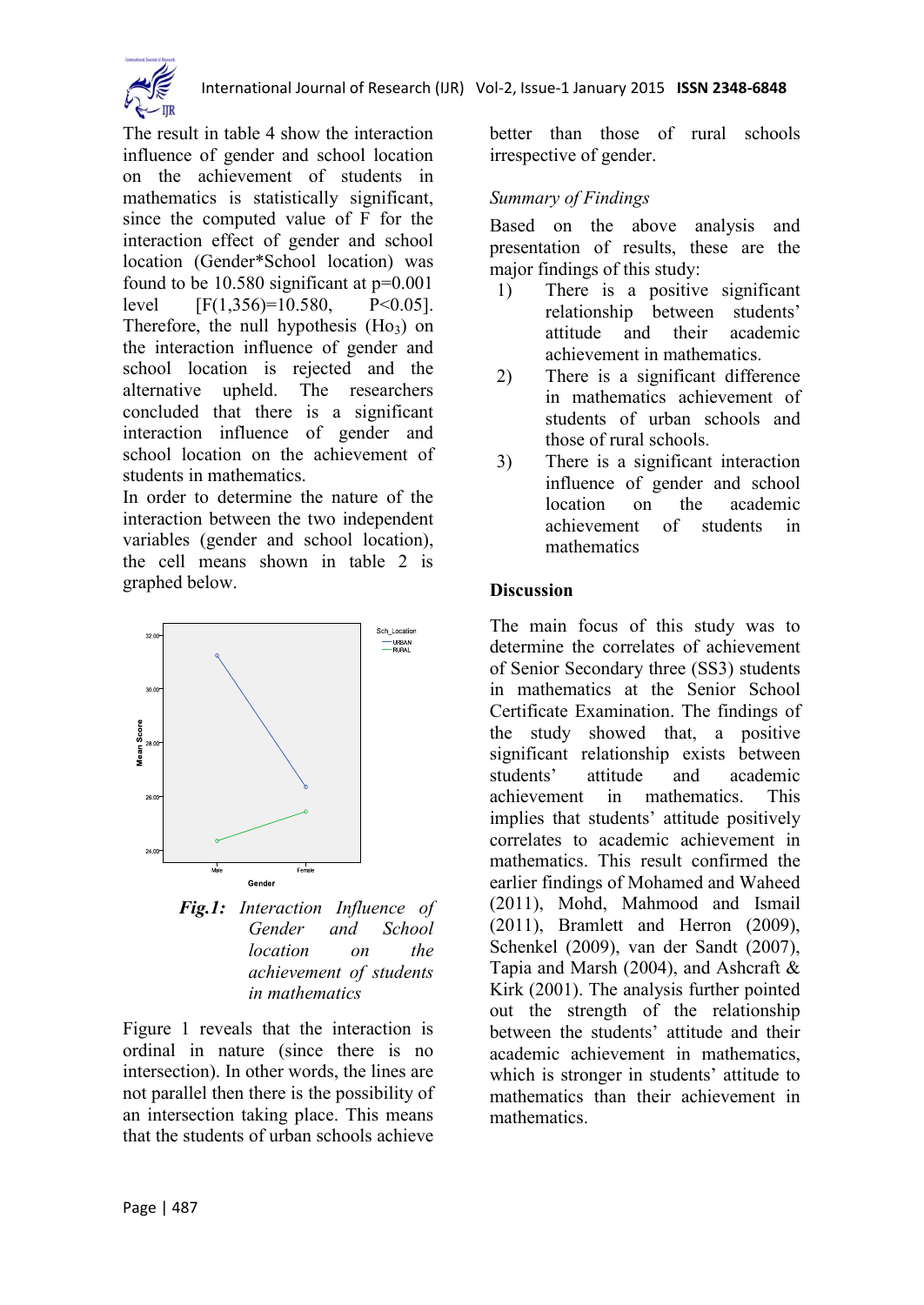

The result in table 4 show the interaction influence of gender and school location on the achievement of students in mathematics is statistically significant, since the computed value of F for the interaction effect of gender and school location (Gender\*School location) was found to be  $10.580$  significant at  $p=0.001$ level  $[F(1,356)=10,580, P\leq 0.05]$ . Therefore, the null hypothesis  $(Ho<sub>3</sub>)$  on the interaction influence of gender and school location is rejected and the alternative upheld. The researchers concluded that there is a significant interaction influence of gender and school location on the achievement of students in mathematics.

In order to determine the nature of the interaction between the two independent variables (gender and school location), the cell means shown in table 2 is graphed below.



*Fig.1: Interaction Influence of Gender and School location on the achievement of students in mathematics*

Figure 1 reveals that the interaction is ordinal in nature (since there is no intersection). In other words, the lines are not parallel then there is the possibility of an intersection taking place. This means that the students of urban schools achieve

better than those of rural schools irrespective of gender.

### *Summary of Findings*

Based on the above analysis and presentation of results, these are the major findings of this study:

- 1) There is a positive significant relationship between students' attitude and their academic achievement in mathematics.
- 2) There is a significant difference in mathematics achievement of students of urban schools and those of rural schools.
- 3) There is a significant interaction influence of gender and school location on the academic achievement of students in mathematics

#### **Discussion**

The main focus of this study was to determine the correlates of achievement of Senior Secondary three (SS3) students in mathematics at the Senior School Certificate Examination. The findings of the study showed that, a positive significant relationship exists between students' attitude and academic achievement in mathematics. This implies that students' attitude positively correlates to academic achievement in mathematics. This result confirmed the earlier findings of Mohamed and Waheed (2011), Mohd, Mahmood and Ismail (2011), Bramlett and Herron (2009), Schenkel (2009), van der Sandt (2007), Tapia and Marsh (2004), and Ashcraft & Kirk (2001). The analysis further pointed out the strength of the relationship between the students' attitude and their academic achievement in mathematics, which is stronger in students' attitude to mathematics than their achievement in mathematics.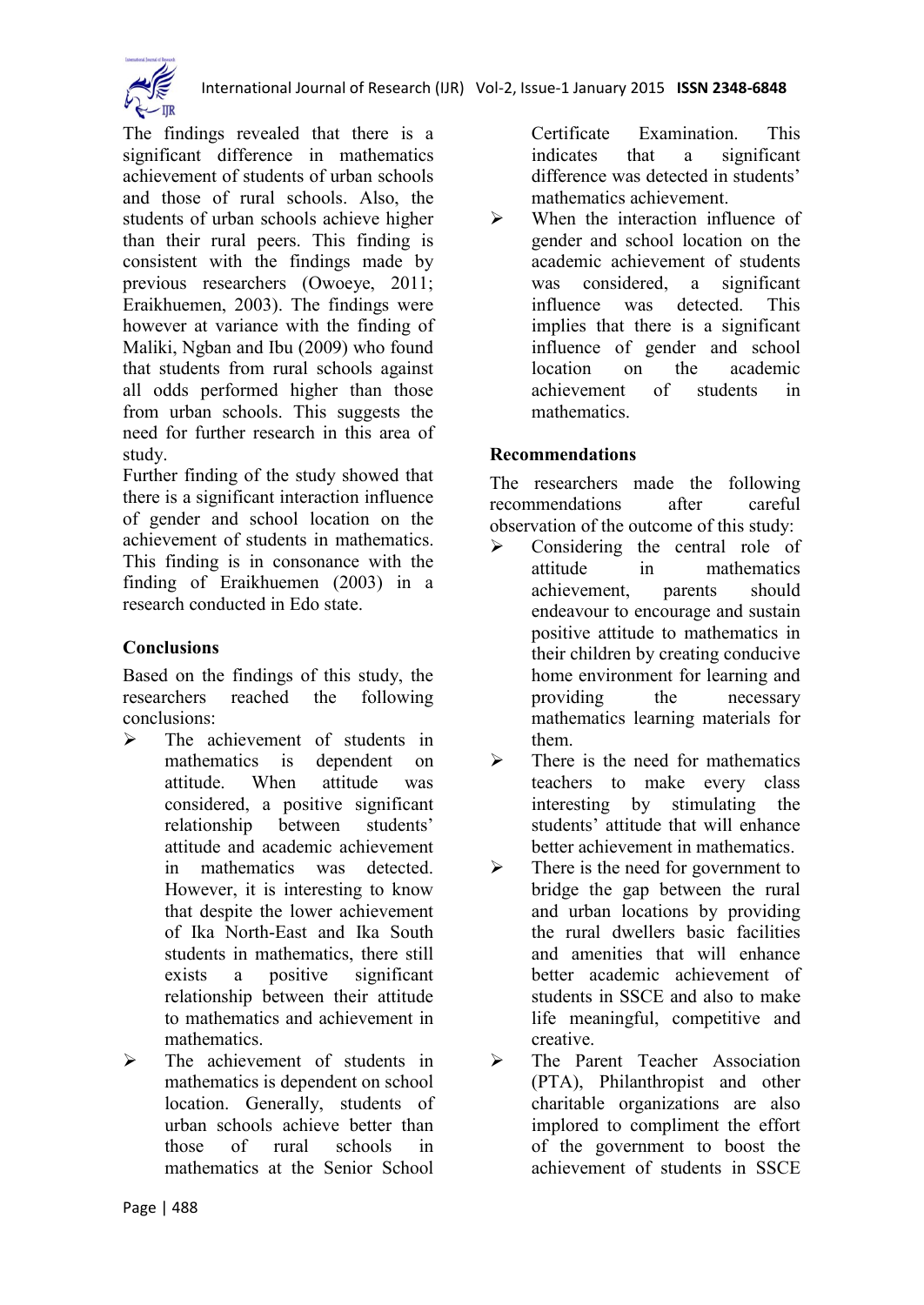



The findings revealed that there is a significant difference in mathematics achievement of students of urban schools and those of rural schools. Also, the students of urban schools achieve higher than their rural peers. This finding is consistent with the findings made by previous researchers (Owoeye, 2011; Eraikhuemen, 2003). The findings were however at variance with the finding of Maliki, Ngban and Ibu (2009) who found that students from rural schools against all odds performed higher than those from urban schools. This suggests the need for further research in this area of study.

Further finding of the study showed that there is a significant interaction influence of gender and school location on the achievement of students in mathematics. This finding is in consonance with the finding of Eraikhuemen (2003) in a research conducted in Edo state.

### **Conclusions**

Based on the findings of this study, the researchers reached the following conclusions:

- $\triangleright$  The achievement of students in mathematics is dependent on attitude. When attitude was considered, a positive significant relationship between students' attitude and academic achievement in mathematics was detected. However, it is interesting to know that despite the lower achievement of Ika North-East and Ika South students in mathematics, there still exists a positive significant relationship between their attitude to mathematics and achievement in mathematics.
- $\triangleright$  The achievement of students in mathematics is dependent on school location. Generally, students of urban schools achieve better than those of rural schools in mathematics at the Senior School

Certificate Examination. This indicates that a significant difference was detected in students' mathematics achievement.

 $\triangleright$  When the interaction influence of gender and school location on the academic achievement of students was considered, a significant influence was detected. This implies that there is a significant influence of gender and school location on the academic achievement of students in mathematics.

### **Recommendations**

The researchers made the following recommendations after careful observation of the outcome of this study:

- $\triangleright$  Considering the central role of attitude in mathematics achievement, parents should endeavour to encourage and sustain positive attitude to mathematics in their children by creating conducive home environment for learning and providing the necessary mathematics learning materials for them.
- $\triangleright$  There is the need for mathematics teachers to make every class interesting by stimulating the students' attitude that will enhance better achievement in mathematics.
- $\triangleright$  There is the need for government to bridge the gap between the rural and urban locations by providing the rural dwellers basic facilities and amenities that will enhance better academic achievement of students in SSCE and also to make life meaningful, competitive and creative.
- > The Parent Teacher Association (PTA), Philanthropist and other charitable organizations are also implored to compliment the effort of the government to boost the achievement of students in SSCE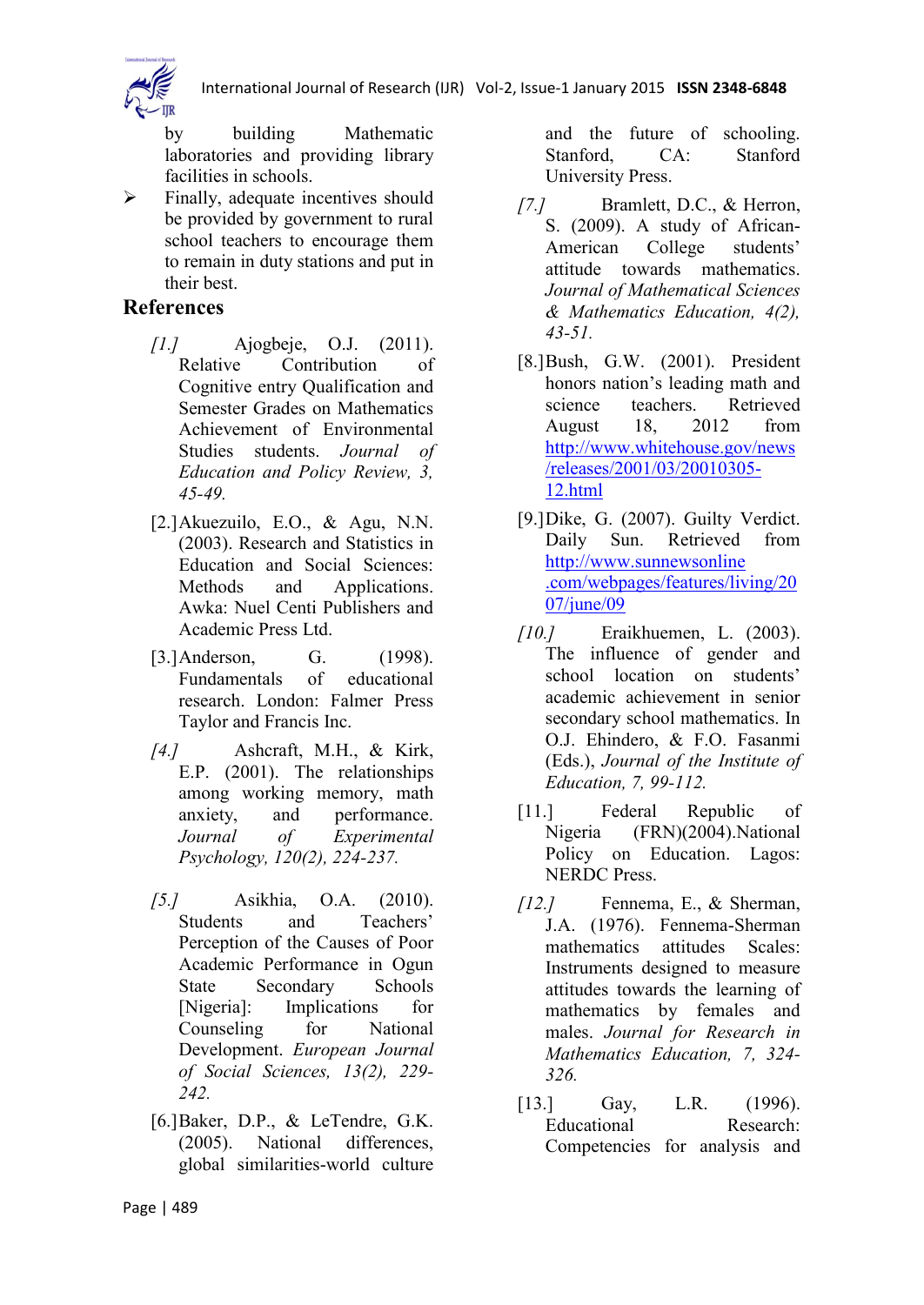

by building Mathematic laboratories and providing library facilities in schools.

 $\triangleright$  Finally, adequate incentives should be provided by government to rural school teachers to encourage them to remain in duty stations and put in their best.

# **References**

- *[1.]* Ajogbeje, O.J. (2011). Relative Contribution of Cognitive entry Qualification and Semester Grades on Mathematics Achievement of Environmental Studies students. *Journal of Education and Policy Review, 3, 45-49.*
- [2.]Akuezuilo, E.O., & Agu, N.N. (2003). Research and Statistics in Education and Social Sciences: Methods and Applications. Awka: Nuel Centi Publishers and Academic Press Ltd.
- [3.] Anderson, G. (1998). Fundamentals of educational research. London: Falmer Press Taylor and Francis Inc.
- *[4.]* Ashcraft, M.H., & Kirk, E.P. (2001). The relationships among working memory, math anxiety, and performance. *Journal of Experimental Psychology, 120(2), 224-237.*
- *[5.]* Asikhia, O.A. (2010). Students and Teachers' Perception of the Causes of Poor Academic Performance in Ogun State Secondary Schools [Nigeria]: Implications for Counseling for National Development. *European Journal of Social Sciences, 13(2), 229- 242.*
- [6.]Baker, D.P., & LeTendre, G.K. (2005). National differences, global similarities-world culture

and the future of schooling. Stanford, CA: Stanford University Press.

- *[7.]* Bramlett, D.C., & Herron, S. (2009). A study of African-American College students' attitude towards mathematics. *Journal of Mathematical Sciences & Mathematics Education, 4(2), 43-51.*
- [8.]Bush, G.W. (2001). President honors nation's leading math and science teachers. Retrieved August 18, 2012 from [http://www.whitehouse.gov/news](http://www.whitehouse.gov/news/releases/2001/03/20010305-12.html) [/releases/2001/03/20010305-](http://www.whitehouse.gov/news/releases/2001/03/20010305-12.html) [12.html](http://www.whitehouse.gov/news/releases/2001/03/20010305-12.html)
- [9.]Dike, G. (2007). Guilty Verdict. Daily Sun. Retrieved from http://www.sunnewsonline .com/webpages/features/living/20 07/june/09
- *[10.]* Eraikhuemen, L. (2003). The influence of gender and school location on students' academic achievement in senior secondary school mathematics. In O.J. Ehindero, & F.O. Fasanmi (Eds.), *Journal of the Institute of Education, 7, 99-112.*
- [11.] Federal Republic of Nigeria (FRN)(2004).National Policy on Education. Lagos: NERDC Press.
- *[12.]* Fennema, E., & Sherman, J.A. (1976). Fennema-Sherman mathematics attitudes Scales: Instruments designed to measure attitudes towards the learning of mathematics by females and males. *Journal for Research in Mathematics Education, 7, 324- 326.*
- [13.] Gay, L.R. (1996). Educational Research: Competencies for analysis and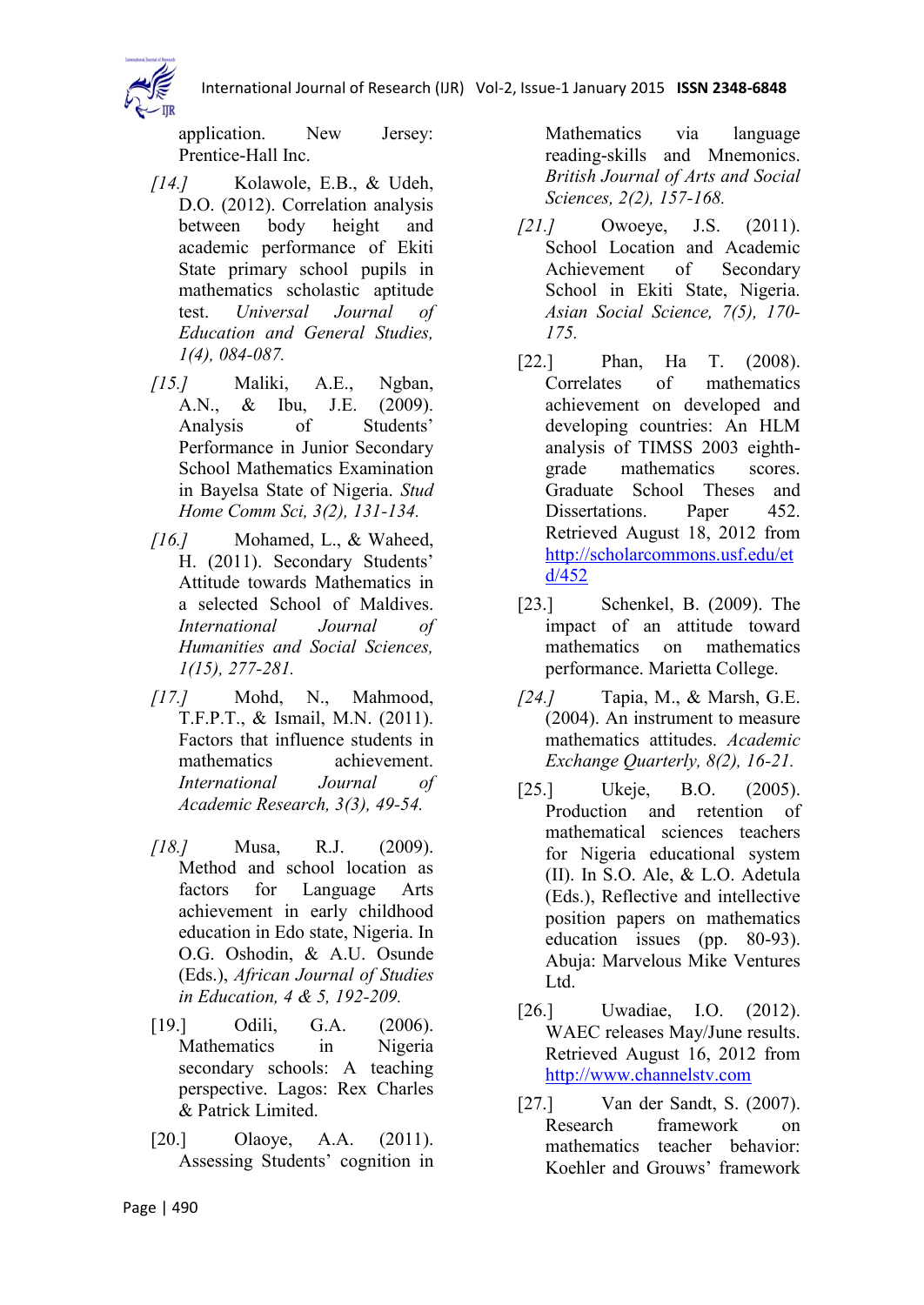

application. New Jersey: Prentice-Hall Inc.

- *[14.]* Kolawole, E.B., & Udeh, D.O. (2012). Correlation analysis between body height and academic performance of Ekiti State primary school pupils in mathematics scholastic aptitude test. *Universal Journal of Education and General Studies, 1(4), 084-087.*
- *[15.]* Maliki, A.E., Ngban, A.N., & Ibu, J.E. (2009). Analysis of Students' Performance in Junior Secondary School Mathematics Examination in Bayelsa State of Nigeria. *Stud Home Comm Sci, 3(2), 131-134.*
- *[16.]* Mohamed, L., & Waheed, H. (2011). Secondary Students' Attitude towards Mathematics in a selected School of Maldives. *International Journal of Humanities and Social Sciences, 1(15), 277-281.*
- *[17.]* Mohd, N., Mahmood, T.F.P.T., & Ismail, M.N. (2011). Factors that influence students in mathematics achievement. *International Journal of Academic Research, 3(3), 49-54.*
- *[18.]* Musa, R.J. (2009). Method and school location as factors for Language Arts achievement in early childhood education in Edo state, Nigeria. In O.G. Oshodin, & A.U. Osunde (Eds.), *African Journal of Studies in Education, 4 & 5, 192-209.*
- [19.] Odili, G.A. (2006). Mathematics in Nigeria secondary schools: A teaching perspective. Lagos: Rex Charles & Patrick Limited.
- [20.] Olaoye, A.A. (2011). Assessing Students' cognition in

Mathematics via language reading-skills and Mnemonics. *British Journal of Arts and Social Sciences, 2(2), 157-168.*

- *[21.]* Owoeye, J.S. (2011). School Location and Academic Achievement of Secondary School in Ekiti State, Nigeria. *Asian Social Science, 7(5), 170- 175.*
- [22.] Phan, Ha T. (2008). Correlates of mathematics achievement on developed and developing countries: An HLM analysis of TIMSS 2003 eighthgrade mathematics scores. Graduate School Theses and Dissertations. Paper 452. Retrieved August 18, 2012 from [http://scholarcommons.usf.edu/et](http://scholarcommons.usf.edu/etd/452) [d/452](http://scholarcommons.usf.edu/etd/452)
- [23.] Schenkel, B. (2009). The impact of an attitude toward mathematics on mathematics performance. Marietta College.
- *[24.]* Tapia, M., & Marsh, G.E. (2004). An instrument to measure mathematics attitudes. *Academic Exchange Quarterly, 8(2), 16-21.*
- [25.] Ukeje, B.O. (2005). Production and retention of mathematical sciences teachers for Nigeria educational system (II). In S.O. Ale, & L.O. Adetula (Eds.), Reflective and intellective position papers on mathematics education issues (pp. 80-93). Abuja: Marvelous Mike Ventures Ltd.
- [26.] Uwadiae, I.O. (2012). WAEC releases May/June results. Retrieved August 16, 2012 from [http://www.channelstv.com](http://www.channelstv.com/)
- [27.] Van der Sandt, S. (2007). Research framework on mathematics teacher behavior: Koehler and Grouws' framework